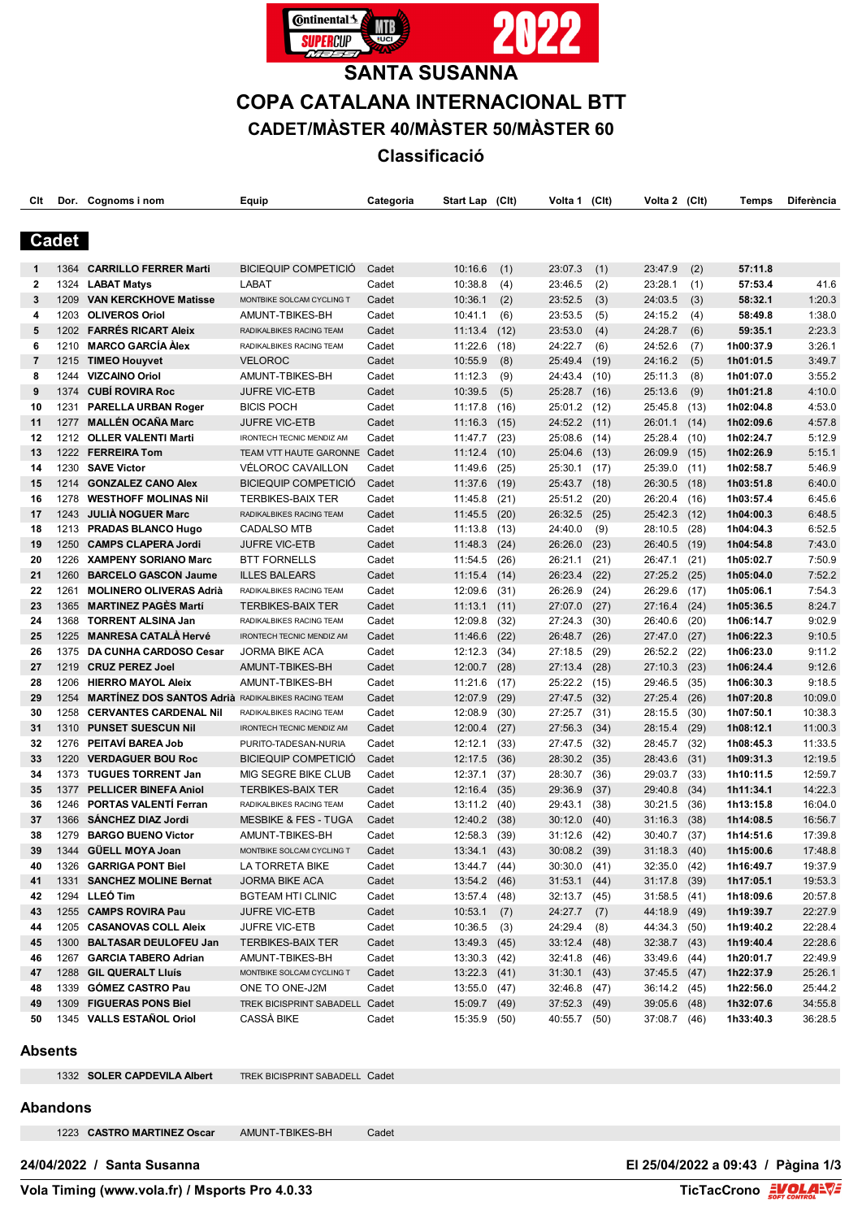

# **SANTA SUSANNA COPA CATALANA INTERNACIONAL BTT CADET/MÀSTER 40/MÀSTER 50/MÀSTER 60 Classificació**

| Clt             |      | Dor. Cognoms i nom                                        | Equip                                        | Categoria | Start Lap (Clt)                |      | Volta 1 (Clt)                |      | Volta 2 (Clt)                |      | Temps     | <b>Diferència</b> |
|-----------------|------|-----------------------------------------------------------|----------------------------------------------|-----------|--------------------------------|------|------------------------------|------|------------------------------|------|-----------|-------------------|
| Cadet           |      |                                                           |                                              |           |                                |      |                              |      |                              |      |           |                   |
|                 |      |                                                           |                                              |           |                                |      |                              |      |                              |      |           |                   |
| 1               | 1364 | <b>CARRILLO FERRER Marti</b>                              | <b>BICIEQUIP COMPETICIÓ</b>                  | Cadet     | 10:16.6                        | (1)  | 23:07.3                      | (1)  | 23:47.9                      | (2)  | 57:11.8   |                   |
| 2               | 1324 | <b>LABAT Matys</b>                                        | <b>LABAT</b>                                 | Cadet     | 10:38.8                        | (4)  | 23:46.5                      | (2)  | 23:28.1                      | (1)  | 57:53.4   | 41.6              |
| 3               | 1209 | <b>VAN KERCKHOVE Matisse</b>                              | MONTBIKE SOLCAM CYCLING T                    | Cadet     | 10:36.1                        | (2)  | 23:52.5                      | (3)  | 24:03.5                      | (3)  | 58:32.1   | 1:20.3            |
| 4               | 1203 | <b>OLIVEROS Oriol</b>                                     | AMUNT-TBIKES-BH                              | Cadet     | 10:41.1                        | (6)  | 23:53.5                      | (5)  | 24:15.2                      | (4)  | 58:49.8   | 1:38.0            |
| 5               | 1202 | <b>FARRÉS RICART Aleix</b>                                | RADIKALBIKES RACING TEAM                     | Cadet     | 11:13.4                        | (12) | 23:53.0                      | (4)  | 24:28.7                      | (6)  | 59:35.1   | 2:23.3            |
| 6               | 1210 | <b>MARCO GARCÍA Àlex</b>                                  | RADIKALBIKES RACING TEAM                     | Cadet     | 11:22.6                        | (18) | 24:22.7                      | (6)  | 24:52.6                      | (7)  | 1h00:37.9 | 3:26.1            |
| 7               |      | 1215 TIMEO Houyvet                                        | <b>VELOROC</b>                               | Cadet     | 10:55.9                        | (8)  | 25:49.4                      | (19) | 24:16.2                      | (5)  | 1h01:01.5 | 3:49.7            |
| 8               | 1244 | <b>VIZCAINO Oriol</b>                                     | AMUNT-TBIKES-BH                              | Cadet     | 11:12.3                        | (9)  | 24:43.4                      | (10) | 25:11.3                      | (8)  | 1h01:07.0 | 3:55.2            |
| 9               | 1374 | <b>CUBÍ ROVIRA Roc</b>                                    | <b>JUFRE VIC-ETB</b>                         | Cadet     | 10:39.5                        | (5)  | 25:28.7                      | (16) | 25:13.6                      | (9)  | 1h01:21.8 | 4:10.0            |
| 10              | 1231 | <b>PARELLA URBAN Roger</b>                                | <b>BICIS POCH</b>                            | Cadet     | 11:17.8                        | (16) | 25:01.2                      | (12) | 25:45.8                      | (13) | 1h02:04.8 | 4:53.0            |
| 11              | 1277 | <b>MALLÉN OCAÑA Marc</b>                                  | <b>JUFRE VIC-ETB</b>                         | Cadet     | 11:16.3                        | (15) | 24:52.2                      | (11) | 26:01.1                      | (14) | 1h02:09.6 | 4:57.8            |
| 12              |      | 1212 OLLER VALENTI Marti                                  | IRONTECH TECNIC MENDIZ AM                    | Cadet     | 11:47.7                        | (23) | 25:08.6                      | (14) | 25:28.4                      | (10) | 1h02:24.7 | 5:12.9            |
| 13              |      | 1222 FERREIRA Tom                                         | TEAM VTT HAUTE GARONNE                       | Cadet     | 11:12.4                        | (10) | 25:04.6                      | (13) | 26:09.9                      | (15) | 1h02:26.9 | 5:15.1            |
| 14              |      | 1230 SAVE Victor                                          | VÉLOROC CAVAILLON                            | Cadet     | 11:49.6                        | (25) | 25:30.1                      | (17) | 25:39.0                      | (11) | 1h02:58.7 | 5:46.9            |
| 15              | 1214 | <b>GONZALEZ CANO Alex</b>                                 | <b>BICIEQUIP COMPETICIÓ</b>                  | Cadet     | 11:37.6                        | (19) | 25:43.7                      | (18) | 26:30.5                      | (18) | 1h03:51.8 | 6:40.0            |
| 16              | 1278 | <b>WESTHOFF MOLINAS NII</b>                               | <b>TERBIKES-BAIX TER</b>                     | Cadet     | 11:45.8                        | (21) | 25:51.2                      | (20) | 26:20.4                      | (16) | 1h03:57.4 | 6:45.6            |
| 17              | 1243 | <b>JULIA NOGUER Marc</b>                                  | RADIKALBIKES RACING TEAM                     | Cadet     | 11:45.5                        | (20) | 26:32.5                      | (25) | 25:42.3                      | (12) | 1h04:00.3 | 6:48.5            |
| 18              | 1213 | <b>PRADAS BLANCO Hugo</b>                                 | <b>CADALSO MTB</b>                           | Cadet     | 11:13.8                        | (13) | 24:40.0                      | (9)  | 28:10.5                      | (28) | 1h04:04.3 | 6:52.5            |
| 19              | 1250 | <b>CAMPS CLAPERA Jordi</b>                                | <b>JUFRE VIC-ETB</b>                         | Cadet     | 11:48.3                        |      | 26:26.0                      | (23) | 26:40.5                      | (19) | 1h04:54.8 | 7:43.0            |
| 20              | 1226 | <b>XAMPENY SORIANO Marc</b>                               |                                              |           |                                | (24) |                              |      |                              |      | 1h05:02.7 |                   |
|                 |      |                                                           | <b>BTT FORNELLS</b>                          | Cadet     | 11:54.5                        | (26) | 26:21.1                      | (21) | 26:47.1                      | (21) |           | 7:50.9            |
| 21              | 1260 | <b>BARCELO GASCON Jaume</b>                               | <b>ILLES BALEARS</b>                         | Cadet     | 11:15.4                        | (14) | 26:23.4                      | (22) | 27:25.2                      | (25) | 1h05:04.0 | 7:52.2            |
| 22              | 1261 | <b>MOLINERO OLIVERAS Adrià</b>                            | RADIKALBIKES RACING TEAM                     | Cadet     | 12:09.6                        | (31) | 26:26.9                      | (24) | 26:29.6                      | (17) | 1h05:06.1 | 7:54.3            |
| 23              | 1365 | <b>MARTINEZ PAGÈS Martí</b>                               | <b>TERBIKES-BAIX TER</b>                     | Cadet     | 11:13.1                        | (11) | 27:07.0                      | (27) | 27:16.4                      | (24) | 1h05:36.5 | 8:24.7            |
| 24              | 1368 | <b>TORRENT ALSINA Jan</b>                                 | RADIKALBIKES RACING TEAM                     | Cadet     | 12:09.8                        | (32) | 27:24.3                      | (30) | 26:40.6                      | (20) | 1h06:14.7 | 9:02.9            |
| 25              | 1225 | <b>MANRESA CATALA Hervé</b>                               | IRONTECH TECNIC MENDIZ AM                    | Cadet     | 11:46.6                        | (22) | 26:48.7                      | (26) | 27:47.0                      | (27) | 1h06:22.3 | 9:10.5            |
| 26              | 1375 | DA CUNHA CARDOSO Cesar                                    | <b>JORMA BIKE ACA</b>                        | Cadet     | 12:12.3                        | (34) | 27:18.5                      | (29) | 26:52.2                      | (22) | 1h06:23.0 | 9:11.2            |
| 27              | 1219 | <b>CRUZ PEREZ Joel</b>                                    | AMUNT-TBIKES-BH                              | Cadet     | 12:00.7                        | (28) | 27:13.4                      | (28) | 27:10.3                      | (23) | 1h06:24.4 | 9:12.6            |
| 28              | 1206 | <b>HIERRO MAYOL Aleix</b>                                 | AMUNT-TBIKES-BH                              | Cadet     | 11:21.6                        | (17) | 25:22.2 (15)                 |      | 29:46.5                      | (35) | 1h06:30.3 | 9:18.5            |
| 29              | 1254 | <b>MARTINEZ DOS SANTOS Adrià RADIKALBIKES RACING TEAM</b> |                                              | Cadet     | 12:07.9                        | (29) | 27:47.5                      | (32) | 27:25.4                      | (26) | 1h07:20.8 | 10:09.0           |
| 30              | 1258 | <b>CERVANTES CARDENAL Nil</b>                             | RADIKALBIKES RACING TEAM                     | Cadet     | 12:08.9                        | (30) | 27:25.7                      | (31) | 28:15.5                      | (30) | 1h07:50.1 | 10:38.3           |
| 31              | 1310 | <b>PUNSET SUESCUN Nil</b>                                 | <b>IRONTECH TECNIC MENDIZ AM</b>             | Cadet     | 12:00.4                        | (27) | 27:56.3                      | (34) | 28:15.4                      | (29) | 1h08:12.1 | 11:00.3           |
| 32              | 1276 | PEITAVI BAREA Job                                         | PURITO-TADESAN-NURIA                         | Cadet     | 12:12.1                        | (33) | 27:47.5                      | (32) | 28:45.7                      | (32) | 1h08:45.3 | 11:33.5           |
| 33              | 1220 | <b>VERDAGUER BOU Roc</b>                                  | <b>BICIEQUIP COMPETICIÓ</b>                  | Cadet     | 12:17.5                        | (36) | 28:30.2                      | (35) | 28:43.6                      | (31) | 1h09:31.3 | 12:19.5           |
| 34              | 1373 | <b>TUGUES TORRENT Jan</b>                                 | MIG SEGRE BIKE CLUB                          | Cadet     | 12:37.1                        | (37) | 28:30.7                      | (36) | 29:03.7                      | (33) | 1h10:11.5 | 12:59.7           |
| 35              | 1377 | <b>PELLICER BINEFA Aniol</b>                              | <b>TERBIKES-BAIX TER</b>                     | Cadet     | 12:16.4                        | (35) | 29:36.9                      | (37) | 29:40.8                      | (34) | 1h11:34.1 | 14:22.3           |
| 36              | 1246 | <b>PORTAS VALENTI Ferran</b>                              | RADIKALBIKES RACING TEAM                     | Cadet     | 13:11.2                        | (40) | 29:43.1                      | (38) | 30:21.5                      | (36) | 1h13:15.8 | 16:04.0           |
| 37              |      | 1366 SANCHEZ DIAZ Jordi                                   | <b>MESBIKE &amp; FES - TUGA</b>              | Cadet     | 12:40.2 (38)                   |      | $30:12.0$ (40)               |      | $31:16.3$ (38)               |      | 1h14:08.5 | 16:56.7           |
| 38              |      | 1279 BARGO BUENO Victor                                   | AMUNT-TBIKES-BH                              | Cadet     | 12:58.3 (39)                   |      | 31:12.6 (42)                 |      | 30:40.7 (37)                 |      | 1h14:51.6 | 17:39.8           |
| 39              |      | 1344 GÜELL MOYA Joan                                      | MONTBIKE SOLCAM CYCLING T                    | Cadet     | $13:34.1$ (43)                 |      | $30:08.2$ (39)               |      | $31:18.3$ (40)               |      | 1h15:00.6 | 17:48.8           |
| 40              |      | 1326 GARRIGA PONT Biel                                    | LA TORRETA BIKE                              | Cadet     | 13:44.7 (44)                   |      | $30:30.0$ (41)               |      | 32:35.0 (42)                 |      | 1h16:49.7 | 19:37.9           |
| 41              |      | 1331 SANCHEZ MOLINE Bernat                                | <b>JORMA BIKE ACA</b>                        | Cadet     | 13:54.2 (46)                   |      | $31:53.1$ (44)               |      | $31:17.8$ (39)               |      | 1h17:05.1 | 19:53.3           |
| 42              |      | 1294 LLEÓ Tim                                             | <b>BGTEAM HTI CLINIC</b>                     | Cadet     | 13:57.4 (48)                   |      | 32:13.7 (45)                 |      | $31:58.5$ (41)               |      | 1h18:09.6 | 20:57.8           |
| 43              |      | 1255 CAMPS ROVIRA Pau                                     | <b>JUFRE VIC-ETB</b>                         | Cadet     | 10:53.1                        | (7)  | $24:27.7$ (7)                |      | 44:18.9 (49)                 |      | 1h19:39.7 | 22:27.9           |
| 44              |      | 1205 CASANOVAS COLL Aleix                                 | <b>JUFRE VIC-ETB</b>                         | Cadet     | $10:36.5$ (3)                  |      | 24:29.4 (8)                  |      | 44:34.3 (50)                 |      | 1h19:40.2 | 22:28.4           |
| 45              |      | 1300 BALTASAR DEULOFEU Jan                                | <b>TERBIKES-BAIX TER</b>                     | Cadet     | $13:49.3$ (45)                 |      | $33:12.4$ (48)               |      | $32:38.7$ (43)               |      | 1h19:40.4 | 22:28.6           |
| 46              |      | 1267 GARCIA TABERO Adrian                                 | AMUNT-TBIKES-BH                              | Cadet     | $13:30.3$ (42)                 |      | 32:41.8 (46)                 |      | 33:49.6 (44)                 |      | 1h20:01.7 | 22:49.9           |
| 47              |      | 1288 GIL QUERALT Lluís                                    | MONTBIKE SOLCAM CYCLING T                    | Cadet     | $13:22.3$ (41)                 |      | $31:30.1$ (43)               |      | 37:45.5 (47)                 |      | 1h22:37.9 | 25:26.1           |
| 48              |      | 1339 GOMEZ CASTRO Pau                                     | ONE TO ONE-J2M                               | Cadet     | $13:55.0$ (47)                 |      | 32:46.8 (47)                 |      | 36:14.2 (45)                 |      | 1h22:56.0 | 25:44.2           |
| 49              |      | 1309 FIGUERAS PONS Biel                                   |                                              |           |                                |      |                              |      |                              |      | 1h32:07.6 | 34:55.8           |
| 50              |      | 1345 VALLS ESTAÑOL Oriol                                  | TREK BICISPRINT SABADELL Cadet<br>CASSÀ BIKE | Cadet     | $15:09.7$ (49)<br>15:35.9 (50) |      | 37:52.3 (49)<br>40:55.7 (50) |      | 39:05.6 (48)<br>37:08.7 (46) |      | 1h33:40.3 | 36:28.5           |
| <b>Absents</b>  |      |                                                           |                                              |           |                                |      |                              |      |                              |      |           |                   |
|                 |      | 1332 SOLER CAPDEVILA Albert                               | TREK BICISPRINT SABADELL Cadet               |           |                                |      |                              |      |                              |      |           |                   |
|                 |      |                                                           |                                              |           |                                |      |                              |      |                              |      |           |                   |
| <b>Abandons</b> |      |                                                           |                                              |           |                                |      |                              |      |                              |      |           |                   |
|                 |      | 1223 CASTRO MARTINEZ Oscar                                | AMUNT-TBIKES-BH                              | Cadet     |                                |      |                              |      |                              |      |           |                   |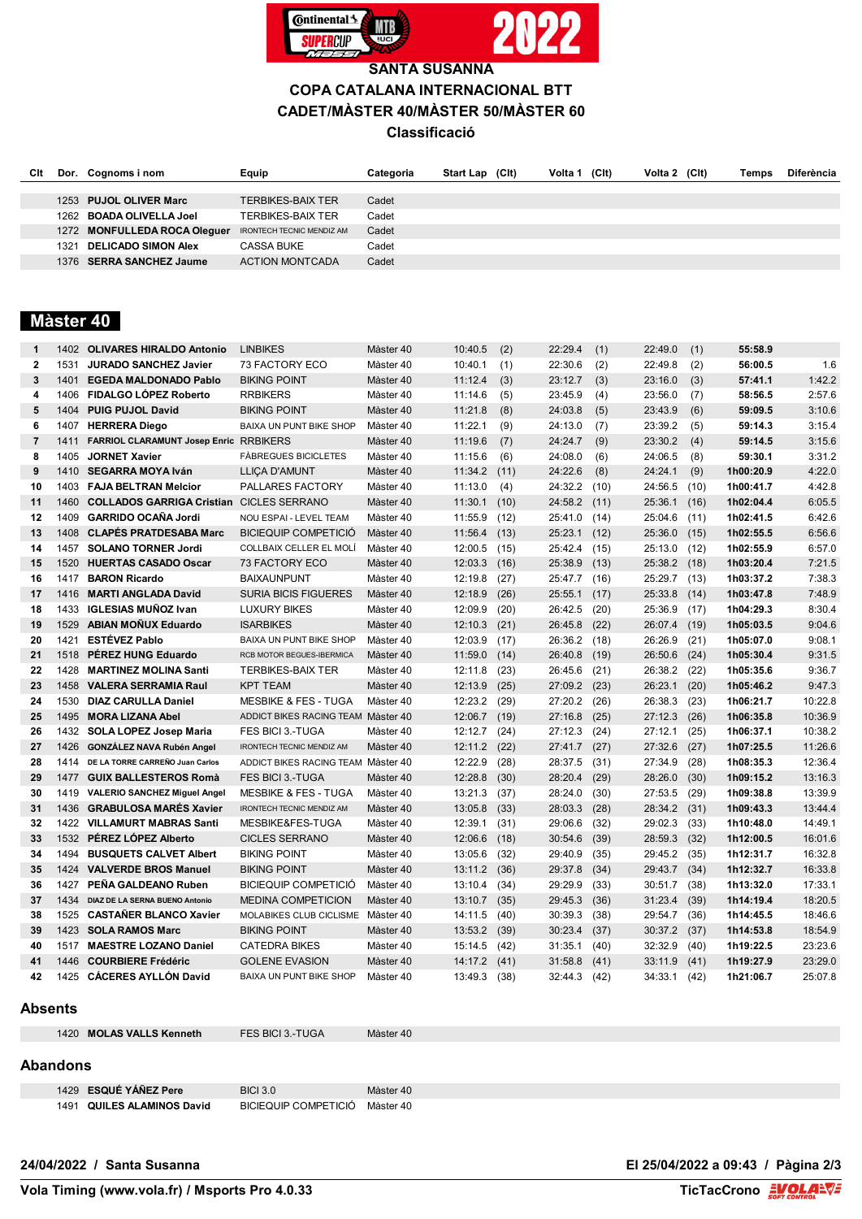

**SANTA SUSANNA COPA CATALANA INTERNACIONAL BTT CADET/MÀSTER 40/MÀSTER 50/MÀSTER 60**

## **Classificació**

| Clt |      | Dor. Cognoms i nom           | Equip                            | Categoria | <b>Start Lap</b> | (CIt) | Volta 1 | (C <sub>l</sub> ) | Volta 2 (Clt) | Temps | <b>Diferència</b> |
|-----|------|------------------------------|----------------------------------|-----------|------------------|-------|---------|-------------------|---------------|-------|-------------------|
|     |      |                              |                                  |           |                  |       |         |                   |               |       |                   |
|     |      | 1253 PUJOL OLIVER Marc       | <b>TERBIKES-BAIX TER</b>         | Cadet     |                  |       |         |                   |               |       |                   |
|     |      | 1262 BOADA OLIVELLA Joel     | <b>TERBIKES-BAIX TER</b>         | Cadet     |                  |       |         |                   |               |       |                   |
|     |      | 1272 MONFULLEDA ROCA Oleguer | <b>IRONTECH TECNIC MENDIZ AM</b> | Cadet     |                  |       |         |                   |               |       |                   |
|     | 1321 | <b>DELICADO SIMON Alex</b>   | CASSA BUKE                       | Cadet     |                  |       |         |                   |               |       |                   |
|     |      | 1376 SERRA SANCHEZ Jaume     | <b>ACTION MONTCADA</b>           | Cadet     |                  |       |         |                   |               |       |                   |

# **Màster 40**

| 1              |      | 1402 OLIVARES HIRALDO Antonio                   | <b>LINBIKES</b>                    | Màster 40 | 10:40.5 | (2)  | 22:29.4      | (1)  | 22:49.0 | (1)  | 55:58.9   |         |
|----------------|------|-------------------------------------------------|------------------------------------|-----------|---------|------|--------------|------|---------|------|-----------|---------|
| $\overline{2}$ | 1531 | <b>JURADO SANCHEZ Javier</b>                    | 73 FACTORY ECO                     | Màster 40 | 10:40.1 | (1)  | 22:30.6      | (2)  | 22:49.8 | (2)  | 56:00.5   | 1.6     |
| 3              | 1401 | <b>EGEDA MALDONADO Pablo</b>                    | <b>BIKING POINT</b>                | Màster 40 | 11:12.4 | (3)  | 23:12.7      | (3)  | 23:16.0 | (3)  | 57:41.1   | 1:42.2  |
| 4              | 1406 | FIDALGO LÓPEZ Roberto                           | <b>RRBIKERS</b>                    | Màster 40 | 11:14.6 | (5)  | 23:45.9      | (4)  | 23:56.0 | (7)  | 58:56.5   | 2:57.6  |
| 5              | 1404 | <b>PUIG PUJOL David</b>                         | <b>BIKING POINT</b>                | Màster 40 | 11:21.8 | (8)  | 24:03.8      | (5)  | 23:43.9 | (6)  | 59:09.5   | 3:10.6  |
| 6              | 1407 | <b>HERRERA Diego</b>                            | BAIXA UN PUNT BIKE SHOP            | Màster 40 | 11:22.1 | (9)  | 24:13.0      | (7)  | 23:39.2 | (5)  | 59:14.3   | 3:15.4  |
| $\overline{7}$ | 1411 | FARRIOL CLARAMUNT Josep Enric RRBIKERS          |                                    | Màster 40 | 11:19.6 | (7)  | 24:24.7      | (9)  | 23:30.2 | (4)  | 59:14.5   | 3:15.6  |
| 8              | 1405 | <b>JORNET Xavier</b>                            | <b>FÀBREGUES BICICLETES</b>        | Màster 40 | 11:15.6 | (6)  | 24:08.0      | (6)  | 24:06.5 | (8)  | 59:30.1   | 3:31.2  |
| 9              | 1410 | <b>SEGARRA MOYA Iván</b>                        | <b>LLICA D'AMUNT</b>               | Màster 40 | 11:34.2 | (11) | 24:22.6      | (8)  | 24:24.1 | (9)  | 1h00:20.9 | 4:22.0  |
| 10             | 1403 | <b>FAJA BELTRAN Melcior</b>                     | PALLARES FACTORY                   | Màster 40 | 11:13.0 | (4)  | 24:32.2      | (10) | 24:56.5 | (10) | 1h00:41.7 | 4:42.8  |
| 11             | 1460 | <b>COLLADOS GARRIGA Cristian CICLES SERRANO</b> |                                    | Màster 40 | 11:30.1 | (10) | 24:58.2      | (11) | 25:36.1 | (16) | 1h02:04.4 | 6:05.5  |
| 12             | 1409 | <b>GARRIDO OCAÑA Jordi</b>                      | NOU ESPAI - LEVEL TEAM             | Màster 40 | 11:55.9 | (12) | 25:41.0      | (14) | 25:04.6 | (11) | 1h02:41.5 | 6:42.6  |
| 13             | 1408 | <b>CLAPÉS PRATDESABA Marc</b>                   | <b>BICIEQUIP COMPETICIÓ</b>        | Màster 40 | 11:56.4 | (13) | 25:23.1      | (12) | 25:36.0 | (15) | 1h02:55.5 | 6:56.6  |
| 14             | 1457 | <b>SOLANO TORNER Jordi</b>                      | COLLBAIX CELLER EL MOLÍ            | Màster 40 | 12:00.5 | (15) | 25:42.4      | (15) | 25:13.0 | (12) | 1h02:55.9 | 6:57.0  |
| 15             | 1520 | <b>HUERTAS CASADO Oscar</b>                     | 73 FACTORY ECO                     | Màster 40 | 12:03.3 | (16) | 25:38.9      | (13) | 25:38.2 | (18) | 1h03:20.4 | 7:21.5  |
| 16             |      | 1417 BARON Ricardo                              | <b>BAIXAUNPUNT</b>                 | Màster 40 | 12:19.8 | (27) | 25:47.7 (16) |      | 25:29.7 | (13) | 1h03:37.2 | 7:38.3  |
| 17             |      | 1416 MARTI ANGLADA David                        | <b>SURIA BICIS FIGUERES</b>        | Màster 40 | 12:18.9 | (26) | 25:55.1      | (17) | 25:33.8 | (14) | 1h03:47.8 | 7:48.9  |
| 18             | 1433 | <b>IGLESIAS MUÑOZ Ivan</b>                      | <b>LUXURY BIKES</b>                | Màster 40 | 12:09.9 | (20) | 26:42.5      | (20) | 25:36.9 | (17) | 1h04:29.3 | 8:30.4  |
| 19             | 1529 | <b>ABIAN MONUX Eduardo</b>                      | <b>ISARBIKES</b>                   | Màster 40 | 12:10.3 | (21) | 26:45.8      | (22) | 26:07.4 | (19) | 1h05:03.5 | 9:04.6  |
| 20             | 1421 | <b>ESTÉVEZ Pablo</b>                            | BAIXA UN PUNT BIKE SHOP            | Màster 40 | 12:03.9 | (17) | 26:36.2 (18) |      | 26:26.9 | (21) | 1h05:07.0 | 9:08.1  |
| 21             | 1518 | PÉREZ HUNG Eduardo                              | RCB MOTOR BEGUES-IBERMICA          | Màster 40 | 11:59.0 | (14) | 26:40.8      | (19) | 26:50.6 | (24) | 1h05:30.4 | 9:31.5  |
| 22             | 1428 | <b>MARTINEZ MOLINA Santi</b>                    | <b>TERBIKES-BAIX TER</b>           | Màster 40 | 12:11.8 | (23) | 26:45.6      | (21) | 26:38.2 | (22) | 1h05:35.6 | 9:36.7  |
| 23             |      | 1458 VALERA SERRAMIA Raul                       | <b>KPT TEAM</b>                    | Màster 40 | 12:13.9 | (25) | 27:09.2      | (23) | 26:23.1 | (20) | 1h05:46.2 | 9:47.3  |
| 24             | 1530 | <b>DIAZ CARULLA Daniel</b>                      | <b>MESBIKE &amp; FES - TUGA</b>    | Màster 40 | 12:23.2 | (29) | 27:20.2      | (26) | 26:38.3 | (23) | 1h06:21.7 | 10:22.8 |
| 25             | 1495 | <b>MORA LIZANA Abel</b>                         | ADDICT BIKES RACING TEAM Màster 40 |           | 12:06.7 | (19) | 27:16.8      | (25) | 27:12.3 | (26) | 1h06:35.8 | 10:36.9 |
| 26             |      | 1432 SOLA LOPEZ Josep Maria                     | FES BICI 3.-TUGA                   | Màster 40 | 12:12.7 | (24) | 27:12.3      | (24) | 27:12.1 | (25) | 1h06:37.1 | 10:38.2 |
| 27             | 1426 | <b>GONZÁLEZ NAVA Rubén Angel</b>                | <b>IRONTECH TECNIC MENDIZ AM</b>   | Màster 40 | 12:11.2 | (22) | 27:41.7      | (27) | 27:32.6 | (27) | 1h07:25.5 | 11:26.6 |
| 28             | 1414 | DE LA TORRE CARREÑO Juan Carlos                 | ADDICT BIKES RACING TEAM Màster 40 |           | 12:22.9 | (28) | 28:37.5      | (31) | 27:34.9 | (28) | 1h08:35.3 | 12:36.4 |
| 29             | 1477 | <b>GUIX BALLESTEROS Romà</b>                    | <b>FES BICI 3.-TUGA</b>            | Màster 40 | 12:28.8 | (30) | 28:20.4      | (29) | 28:26.0 | (30) | 1h09:15.2 | 13:16.3 |
| 30             | 1419 | <b>VALERIO SANCHEZ Miguel Angel</b>             | <b>MESBIKE &amp; FES - TUGA</b>    | Màster 40 | 13:21.3 | (37) | 28:24.0      | (30) | 27:53.5 | (29) | 1h09:38.8 | 13:39.9 |
| 31             | 1436 | <b>GRABULOSA MARÉS Xavier</b>                   | <b>IRONTECH TECNIC MENDIZ AM</b>   | Màster 40 | 13:05.8 | (33) | 28:03.3      | (28) | 28:34.2 | (31) | 1h09:43.3 | 13:44.4 |
| 32             |      | 1422 VILLAMURT MABRAS Santi                     | MESBIKE&FES-TUGA                   | Màster 40 | 12:39.1 | (31) | 29:06.6      | (32) | 29:02.3 | (33) | 1h10:48.0 | 14:49.1 |
| 33             | 1532 | PÉREZ LÓPEZ Alberto                             | <b>CICLES SERRANO</b>              | Màster 40 | 12:06.6 | (18) | 30:54.6      | (39) | 28:59.3 | (32) | 1h12:00.5 | 16:01.6 |
| 34             | 1494 | <b>BUSQUETS CALVET Albert</b>                   | <b>BIKING POINT</b>                | Màster 40 | 13:05.6 | (32) | 29:40.9      | (35) | 29:45.2 | (35) | 1h12:31.7 | 16:32.8 |
| 35             | 1424 | <b>VALVERDE BROS Manuel</b>                     | <b>BIKING POINT</b>                | Màster 40 | 13:11.2 | (36) | 29:37.8      | (34) | 29:43.7 | (34) | 1h12:32.7 | 16:33.8 |
| 36             | 1427 | PEÑA GALDEANO Ruben                             | <b>BICIEQUIP COMPETICIÓ</b>        | Màster 40 | 13:10.4 | (34) | 29:29.9      | (33) | 30:51.7 | (38) | 1h13:32.0 | 17:33.1 |
| 37             | 1434 | DIAZ DE LA SERNA BUENO Antonio                  | <b>MEDINA COMPETICION</b>          | Màster 40 | 13:10.7 | (35) | 29:45.3      | (36) | 31:23.4 | (39) | 1h14:19.4 | 18:20.5 |
| 38             | 1525 | <b>CASTAÑER BLANCO Xavier</b>                   | MOLABIKES CLUB CICLISME            | Màster 40 | 14:11.5 | (40) | 30:39.3      | (38) | 29:54.7 | (36) | 1h14:45.5 | 18:46.6 |
| 39             |      | 1423 SOLA RAMOS Marc                            | <b>BIKING POINT</b>                | Màster 40 | 13:53.2 | (39) | 30:23.4      | (37) | 30:37.2 | (37) | 1h14:53.8 | 18:54.9 |
| 40             | 1517 | <b>MAESTRE LOZANO Daniel</b>                    | <b>CATEDRA BIKES</b>               | Màster 40 | 15:14.5 | (42) | 31:35.1      | (40) | 32:32.9 | (40) | 1h19:22.5 | 23:23.6 |
| 41             | 1446 | <b>COURBIERE Frédéric</b>                       | <b>GOLENE EVASION</b>              | Màster 40 | 14:17.2 | (41) | 31:58.8      | (41) | 33:11.9 | (41) | 1h19:27.9 | 23:29.0 |
| 42             | 1425 | <b>CÁCERES AYLLÓN David</b>                     | BAIXA UN PUNT BIKE SHOP            | Màster 40 | 13:49.3 | (38) | 32:44.3      | (42) | 34:33.1 | (42) | 1h21:06.7 | 25:07.8 |
| Absents        |      |                                                 |                                    |           |         |      |              |      |         |      |           |         |

**MOLAS VALLS Kenneth** FES BICI 3.-TUGA Màster 40

#### **Abandons**

 **ESQUÉ YÁÑEZ Pere** BICI 3.0 Màster 40 **QUILES ALAMINOS David** BICIEQUIP COMPETICIÓ Màster 40

**24/04/2022 / Santa Susanna El 25/04/2022 a 09:43 / Pàgina 2/3**